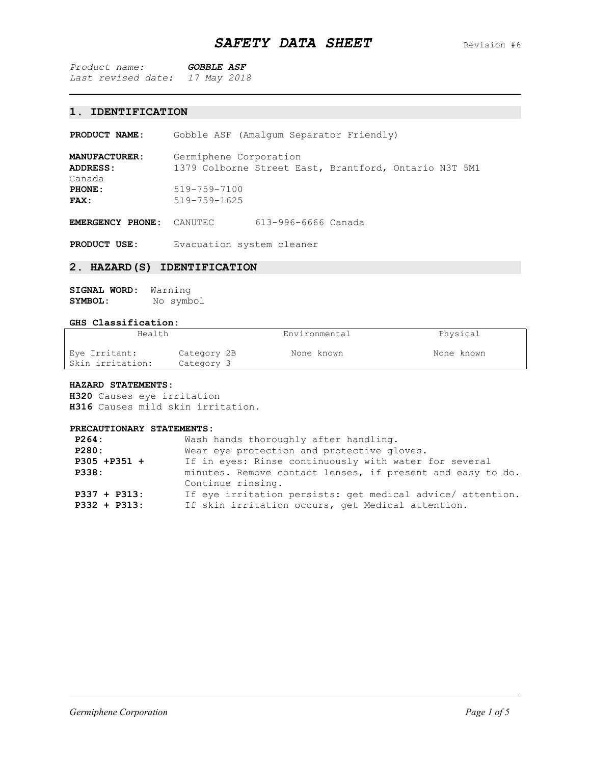## **1. IDENTIFICATION**

**PRODUCT NAME:** Gobble ASF (Amalgum Separator Friendly)

**MANUFACTURER:** Germiphene Corporation **ADDRESS:** 1379 Colborne Street East, Brantford, Ontario N3T 5M1 Canada<br>PHONE: **PHONE:** 519-759-7100<br> **FAX:** 519-759-1625 **FAX:** 519-759-1625

**EMERGENCY PHONE:** CANUTEC 613-996-6666 Canada

**PRODUCT USE:** Evacuation system cleaner

#### **2. HAZARD(S) IDENTIFICATION**

| SIGNAL WORD: | Warning   |
|--------------|-----------|
| SYMBOL:      | No symbol |

## **GHS Classification:**

| Health                            |                           | Environmental | Physical   |
|-----------------------------------|---------------------------|---------------|------------|
| Eye Irritant:<br>Skin irritation: | Category 2B<br>Category 3 | None known    | None known |

#### **HAZARD STATEMENTS:**

**H320** Causes eye irritation **H316** Causes mild skin irritation.

## **PRECAUTIONARY STATEMENTS:**

| P264:           | Wash hands thoroughly after handling.                      |
|-----------------|------------------------------------------------------------|
| P280:           | Wear eye protection and protective gloves.                 |
| P305 +P351 +    | If in eyes: Rinse continuously with water for several      |
| <b>P338:</b>    | minutes. Remove contact lenses, if present and easy to do. |
|                 | Continue rinsing.                                          |
| $P337 + P313$ : | If eye irritation persists: get medical advice/ attention. |
| $P332 + P313$ : | If skin irritation occurs, get Medical attention.          |
|                 |                                                            |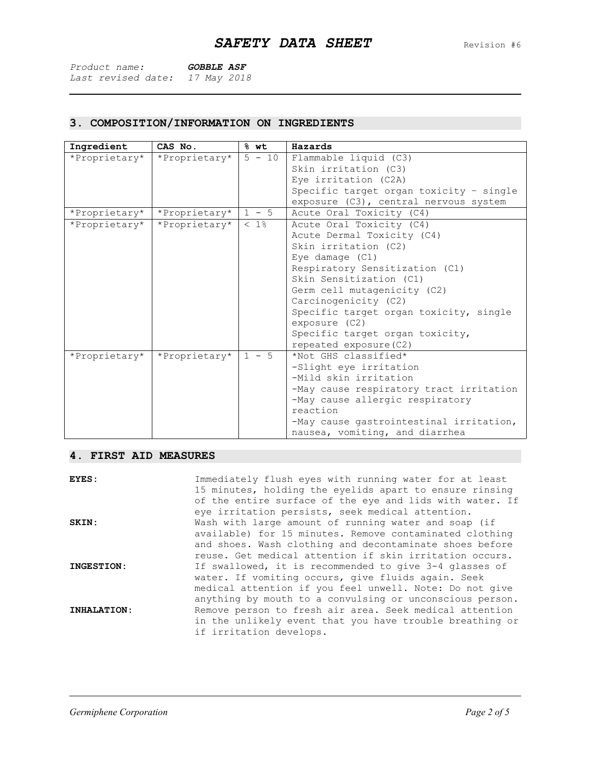| Product name:                  | <i>GOBBLE ASF</i> |  |
|--------------------------------|-------------------|--|
| Last revised date: 17 May 2018 |                   |  |

# **3. COMPOSITION/INFORMATION ON INGREDIENTS**

| Ingredient    | CAS No.       | % wt     | Hazards                                 |  |  |  |
|---------------|---------------|----------|-----------------------------------------|--|--|--|
| *Proprietary* | *Proprietary* | $5 - 10$ | Flammable liquid (C3)                   |  |  |  |
|               |               |          | Skin irritation (C3)                    |  |  |  |
|               |               |          | Eye irritation (C2A)                    |  |  |  |
|               |               |          | Specific target organ toxicity - single |  |  |  |
|               |               |          | exposure (C3), central nervous system   |  |  |  |
| *Proprietary* | *Proprietary* | $1 - 5$  | Acute Oral Toxicity (C4)                |  |  |  |
| *Proprietary* | *Proprietary* | $< 1$ %  | Acute Oral Toxicity (C4)                |  |  |  |
|               |               |          | Acute Dermal Toxicity (C4)              |  |  |  |
|               |               |          | Skin irritation (C2)                    |  |  |  |
|               |               |          | Eye damage (C1)                         |  |  |  |
|               |               |          | Respiratory Sensitization (C1)          |  |  |  |
|               |               |          | Skin Sensitization (C1)                 |  |  |  |
|               |               |          | Germ cell mutagenicity (C2)             |  |  |  |
|               |               |          | Carcinogenicity (C2)                    |  |  |  |
|               |               |          | Specific target organ toxicity, single  |  |  |  |
|               |               |          | exposure (C2)                           |  |  |  |
|               |               |          | Specific target organ toxicity,         |  |  |  |
|               |               |          | repeated exposure (C2)                  |  |  |  |
| *Proprietary* | *Proprietary* | $1 - 5$  | *Not GHS classified*                    |  |  |  |
|               |               |          | -Slight eye irritation                  |  |  |  |
|               |               |          | -Mild skin irritation                   |  |  |  |
|               |               |          | -May cause respiratory tract irritation |  |  |  |
|               |               |          | -May cause allergic respiratory         |  |  |  |
|               |               |          | reaction                                |  |  |  |
|               |               |          | -May cause gastrointestinal irritation, |  |  |  |
|               |               |          | nausea, vomiting, and diarrhea          |  |  |  |

# **4. FIRST AID MEASURES**

| EYES:       | Immediately flush eyes with running water for at least<br>15 minutes, holding the eyelids apart to ensure rinsing<br>of the entire surface of the eye and lids with water. If<br>eye irritation persists, seek medical attention.     |
|-------------|---------------------------------------------------------------------------------------------------------------------------------------------------------------------------------------------------------------------------------------|
| SKIN:       | Wash with large amount of running water and soap (if<br>available) for 15 minutes. Remove contaminated clothing<br>and shoes. Wash clothing and decontaminate shoes before<br>reuse. Get medical attention if skin irritation occurs. |
| INGESTION:  | If swallowed, it is recommended to give 3-4 glasses of<br>water. If vomiting occurs, give fluids again. Seek<br>medical attention if you feel unwell. Note: Do not give<br>anything by mouth to a convulsing or unconscious person.   |
| INHALATION: | Remove person to fresh air area. Seek medical attention<br>in the unlikely event that you have trouble breathing or<br>if irritation develops.                                                                                        |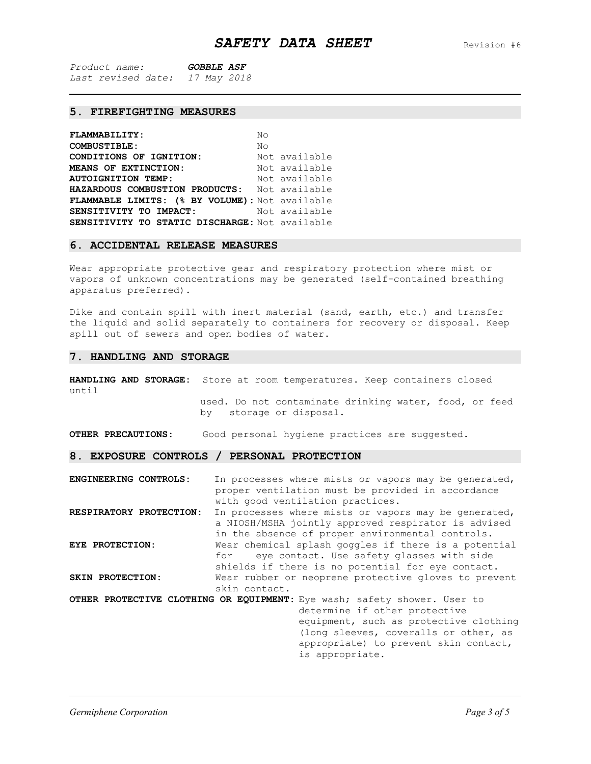## **5. FIREFIGHTING MEASURES**

| <b>FLAMMABILITY:</b>                                | No            |
|-----------------------------------------------------|---------------|
| <b>COMBUSTIBLE:</b>                                 | Nο            |
| <b>CONDITIONS OF IGNITION:</b> Not available        |               |
| MEANS OF EXTINCTION:                                | Not available |
| <b>AUTOIGNITION TEMP:</b>                           | Not available |
| <b>HAZARDOUS COMBUSTION PRODUCTS:</b> Not available |               |
| FLAMMABLE LIMITS: (% BY VOLUME): Not available      |               |
| <b>SENSITIVITY TO IMPACT:</b> Not available         |               |
| SENSITIVITY TO STATIC DISCHARGE: Not available      |               |

#### **6. ACCIDENTAL RELEASE MEASURES**

Wear appropriate protective gear and respiratory protection where mist or vapors of unknown concentrations may be generated (self-contained breathing apparatus preferred).

Dike and contain spill with inert material (sand, earth, etc.) and transfer the liquid and solid separately to containers for recovery or disposal. Keep spill out of sewers and open bodies of water.

#### **7. HANDLING AND STORAGE**

**HANDLING AND STORAGE:** Store at room temperatures. Keep containers closed until

used. Do not contaminate drinking water, food, or feed<br>by storage or disposal. storage or disposal.

**OTHER PRECAUTIONS:** Good personal hygiene practices are suggested.

**8. EXPOSURE CONTROLS / PERSONAL PROTECTION**

**ENGINEERING CONTROLS:** In processes where mists or vapors may be generated, proper ventilation must be provided in accordance with good ventilation practices. **RESPIRATORY PROTECTION:** In processes where mists or vapors may be generated, a NIOSH/MSHA jointly approved respirator is advised in the absence of proper environmental controls. **EYE PROTECTION:** Wear chemical splash goggles if there is a potential eye contact. Use safety glasses with side shields if there is no potential for eye contact. **SKIN PROTECTION:** Wear rubber or neoprene protective gloves to prevent skin contact. **OTHER PROTECTIVE CLOTHING OR EQUIPMENT:** Eye wash; safety shower. User to determine if other protective equipment, such as protective clothing (long sleeves, coveralls or other, as appropriate) to prevent skin contact, is appropriate.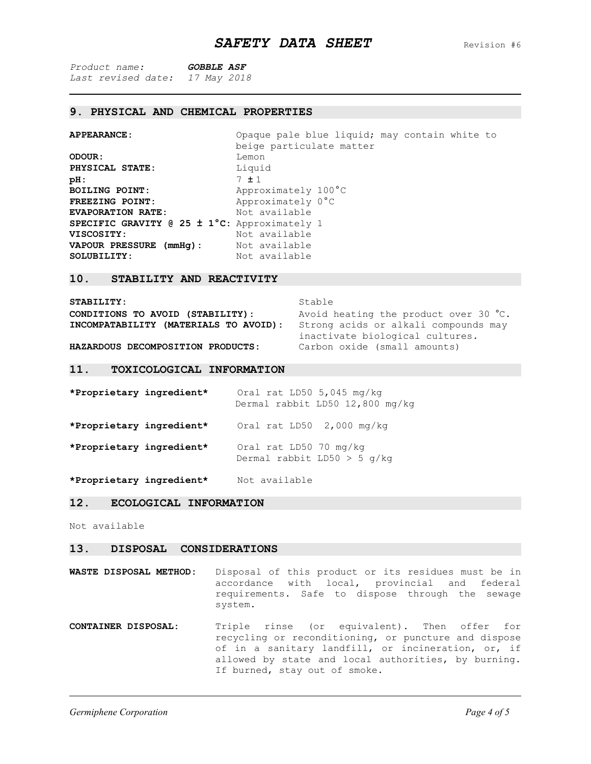### **9. PHYSICAL AND CHEMICAL PROPERTIES**

**APPEARANCE:** Opaque pale blue liquid; may contain white to beige particulate matter **ODOUR:** Lemon **PHYSICAL STATE:** Liquid<br> **pH:** 7 ± 1 **pH:** 7 ± 1 **BOILING POINT:** Approximately 100°C<br> **FREEZING POINT:** Approximately 0°C Approximately 0°C<br>Not available **EVAPORATION RATE: SPECIFIC GRAVITY @ 25 ± 1°C:** Approximately 1 Not available<br>Not available **VAPOUR PRESSURE (mmHg):**<br>SOLUBILITY: Not available

#### **10. STABILITY AND REACTIVITY**

| STABILITY:                            | Stable                                |  |
|---------------------------------------|---------------------------------------|--|
| CONDITIONS TO AVOID (STABILITY):      | Avoid heating the product over 30 °C. |  |
| INCOMPATABILITY (MATERIALS TO AVOID): | Strong acids or alkali compounds may  |  |
|                                       | inactivate biological cultures.       |  |
| HAZARDOUS DECOMPOSITION PRODUCTS:     | Carbon oxide (small amounts)          |  |

#### **11. TOXICOLOGICAL INFORMATION**

| *Proprietary ingredient* |                        | Oral rat LD50 $5,045$ mg/kg<br>Dermal rabbit LD50 12,800 mg/kg |
|--------------------------|------------------------|----------------------------------------------------------------|
| *Proprietary ingredient* |                        | Oral rat $LD50$ 2,000 mg/kg                                    |
| *Proprietary ingredient* | Oral rat LD50 70 mg/kg | Dermal rabbit LD50 $>$ 5 q/kq                                  |

**\*Proprietary ingredient\*** Not available

## **12. ECOLOGICAL INFORMATION**

Not available

#### **13. DISPOSAL CONSIDERATIONS**

**WASTE DISPOSAL METHOD:** Disposal of this product or its residues must be in accordance with local, provincial and federal requirements. Safe to dispose through the sewage system.

**CONTAINER DISPOSAL:** Triple rinse (or equivalent). Then offer for recycling or reconditioning, or puncture and dispose of in a sanitary landfill, or incineration, or, if allowed by state and local authorities, by burning. If burned, stay out of smoke.